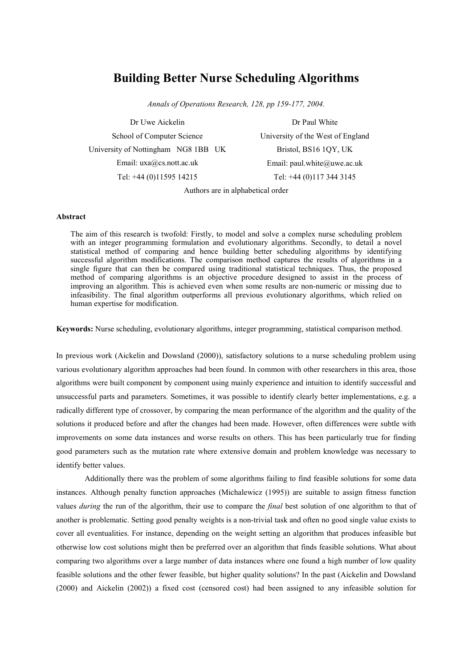## Building Better Nurse Scheduling Algorithms

Annals of Operations Research, 128, pp 159-177, 2004.

| Dr Uwe Aickelin                     | Dr Paul White                     |
|-------------------------------------|-----------------------------------|
| School of Computer Science          | University of the West of England |
| University of Nottingham NG8 1BB UK | Bristol, BS16 1QY, UK             |
| Email: $uxa@cs.nott.ac.uk$          | Email: paul.white@uwe.ac.uk       |
| Tel: +44 (0)11595 14215             | Tel: +44 (0)117 344 3145          |
|                                     |                                   |

Authors are in alphabetical order

### Abstract

The aim of this research is twofold: Firstly, to model and solve a complex nurse scheduling problem with an integer programming formulation and evolutionary algorithms. Secondly, to detail a novel statistical method of comparing and hence building better scheduling algorithms by identifying successful algorithm modifications. The comparison method captures the results of algorithms in a single figure that can then be compared using traditional statistical techniques. Thus, the proposed method of comparing algorithms is an objective procedure designed to assist in the process of improving an algorithm. This is achieved even when some results are non-numeric or missing due to infeasibility. The final algorithm outperforms all previous evolutionary algorithms, which relied on human expertise for modification.

Keywords: Nurse scheduling, evolutionary algorithms, integer programming, statistical comparison method.

In previous work (Aickelin and Dowsland (2000)), satisfactory solutions to a nurse scheduling problem using various evolutionary algorithm approaches had been found. In common with other researchers in this area, those algorithms were built component by component using mainly experience and intuition to identify successful and unsuccessful parts and parameters. Sometimes, it was possible to identify clearly better implementations, e.g. a radically different type of crossover, by comparing the mean performance of the algorithm and the quality of the solutions it produced before and after the changes had been made. However, often differences were subtle with improvements on some data instances and worse results on others. This has been particularly true for finding good parameters such as the mutation rate where extensive domain and problem knowledge was necessary to identify better values.

Additionally there was the problem of some algorithms failing to find feasible solutions for some data instances. Although penalty function approaches (Michalewicz (1995)) are suitable to assign fitness function values *during* the run of the algorithm, their use to compare the *final* best solution of one algorithm to that of another is problematic. Setting good penalty weights is a non-trivial task and often no good single value exists to cover all eventualities. For instance, depending on the weight setting an algorithm that produces infeasible but otherwise low cost solutions might then be preferred over an algorithm that finds feasible solutions. What about comparing two algorithms over a large number of data instances where one found a high number of low quality feasible solutions and the other fewer feasible, but higher quality solutions? In the past (Aickelin and Dowsland (2000) and Aickelin (2002)) a fixed cost (censored cost) had been assigned to any infeasible solution for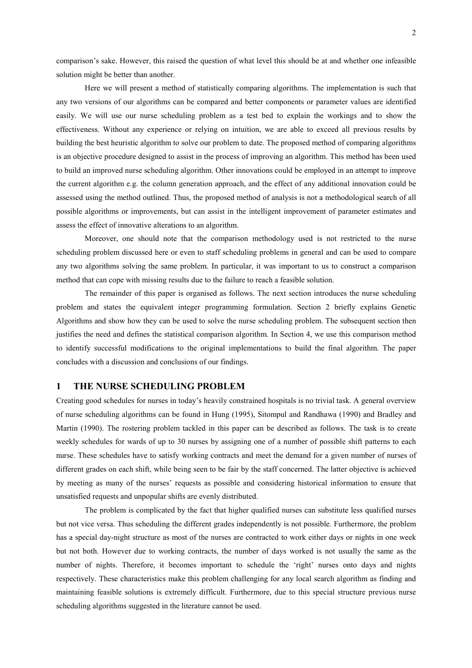comparison's sake. However, this raised the question of what level this should be at and whether one infeasible solution might be better than another.

Here we will present a method of statistically comparing algorithms. The implementation is such that any two versions of our algorithms can be compared and better components or parameter values are identified easily. We will use our nurse scheduling problem as a test bed to explain the workings and to show the effectiveness. Without any experience or relying on intuition, we are able to exceed all previous results by building the best heuristic algorithm to solve our problem to date. The proposed method of comparing algorithms is an objective procedure designed to assist in the process of improving an algorithm. This method has been used to build an improved nurse scheduling algorithm. Other innovations could be employed in an attempt to improve the current algorithm e.g. the column generation approach, and the effect of any additional innovation could be assessed using the method outlined. Thus, the proposed method of analysis is not a methodological search of all possible algorithms or improvements, but can assist in the intelligent improvement of parameter estimates and assess the effect of innovative alterations to an algorithm.

Moreover, one should note that the comparison methodology used is not restricted to the nurse scheduling problem discussed here or even to staff scheduling problems in general and can be used to compare any two algorithms solving the same problem. In particular, it was important to us to construct a comparison method that can cope with missing results due to the failure to reach a feasible solution.

The remainder of this paper is organised as follows. The next section introduces the nurse scheduling problem and states the equivalent integer programming formulation. Section 2 briefly explains Genetic Algorithms and show how they can be used to solve the nurse scheduling problem. The subsequent section then justifies the need and defines the statistical comparison algorithm. In Section 4, we use this comparison method to identify successful modifications to the original implementations to build the final algorithm. The paper concludes with a discussion and conclusions of our findings.

## 1 THE NURSE SCHEDULING PROBLEM

Creating good schedules for nurses in today's heavily constrained hospitals is no trivial task. A general overview of nurse scheduling algorithms can be found in Hung (1995), Sitompul and Randhawa (1990) and Bradley and Martin (1990). The rostering problem tackled in this paper can be described as follows. The task is to create weekly schedules for wards of up to 30 nurses by assigning one of a number of possible shift patterns to each nurse. These schedules have to satisfy working contracts and meet the demand for a given number of nurses of different grades on each shift, while being seen to be fair by the staff concerned. The latter objective is achieved by meeting as many of the nurses' requests as possible and considering historical information to ensure that unsatisfied requests and unpopular shifts are evenly distributed.

The problem is complicated by the fact that higher qualified nurses can substitute less qualified nurses but not vice versa. Thus scheduling the different grades independently is not possible. Furthermore, the problem has a special day-night structure as most of the nurses are contracted to work either days or nights in one week but not both. However due to working contracts, the number of days worked is not usually the same as the number of nights. Therefore, it becomes important to schedule the 'right' nurses onto days and nights respectively. These characteristics make this problem challenging for any local search algorithm as finding and maintaining feasible solutions is extremely difficult. Furthermore, due to this special structure previous nurse scheduling algorithms suggested in the literature cannot be used.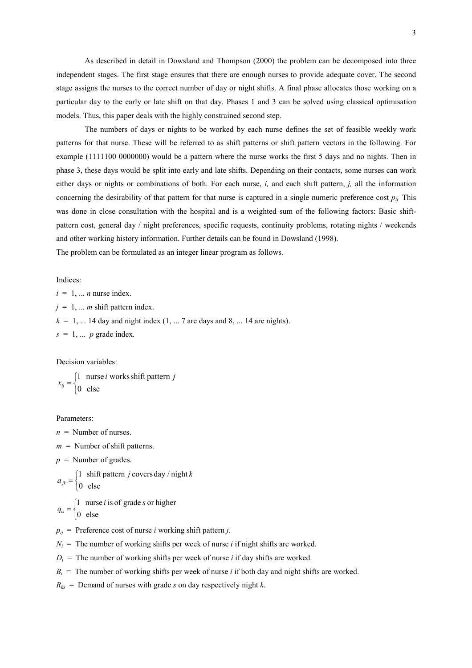As described in detail in Dowsland and Thompson (2000) the problem can be decomposed into three independent stages. The first stage ensures that there are enough nurses to provide adequate cover. The second stage assigns the nurses to the correct number of day or night shifts. A final phase allocates those working on a particular day to the early or late shift on that day. Phases 1 and 3 can be solved using classical optimisation models. Thus, this paper deals with the highly constrained second step.

The numbers of days or nights to be worked by each nurse defines the set of feasible weekly work patterns for that nurse. These will be referred to as shift patterns or shift pattern vectors in the following. For example (1111100 0000000) would be a pattern where the nurse works the first 5 days and no nights. Then in phase 3, these days would be split into early and late shifts. Depending on their contacts, some nurses can work either days or nights or combinations of both. For each nurse, i, and each shift pattern, j, all the information concerning the desirability of that pattern for that nurse is captured in a single numeric preference cost  $p_{ij}$ . This was done in close consultation with the hospital and is a weighted sum of the following factors: Basic shiftpattern cost, general day / night preferences, specific requests, continuity problems, rotating nights / weekends and other working history information. Further details can be found in Dowsland (1998). The problem can be formulated as an integer linear program as follows.

Indices:

 $i = 1, \dots n$  nurse index.  $j = 1, \dots m$  shift pattern index.  $k = 1, \dots 14$  day and night index  $(1, \dots 7)$  are days and 8,  $\dots 14$  are nights).  $s = 1, \ldots, p$  grade index.

Decision variables:

 $\mathfrak{c}$ ∤  $=\left\{$ 0 else  $x_{ij} =\begin{cases} 1 & \text{nu} \neq i \text{ works shift pattern } j \\ 0 & \text{else} \end{cases}$ 

Parameters:

 $n =$  Number of nurses.

 $m =$  Number of shift patterns.

 $p =$  Number of grades.

 $\mathfrak{c}$ ∤  $=\left\{$ 0 else  $a_{jk} =\begin{cases} 1 & \text{shift pattern } j \text{ covers day } / \text{ night } k \end{cases}$ 

 $\mathfrak{t}$ ∤  $=\left\{$ 0 else  $q_{is} =\begin{cases} 1 & \text{nu} \neq i \text{ is of grade } s \text{ or higher} \\ 0 & \text{else} \end{cases}$ 

 $p_{ij}$  = Preference cost of nurse *i* working shift pattern *j*.

 $N_i$  = The number of working shifts per week of nurse *i* if night shifts are worked.

 $D_i$  = The number of working shifts per week of nurse *i* if day shifts are worked.

 $B_i$  = The number of working shifts per week of nurse *i* if both day and night shifts are worked.

 $R_{ks}$  = Demand of nurses with grade s on day respectively night k.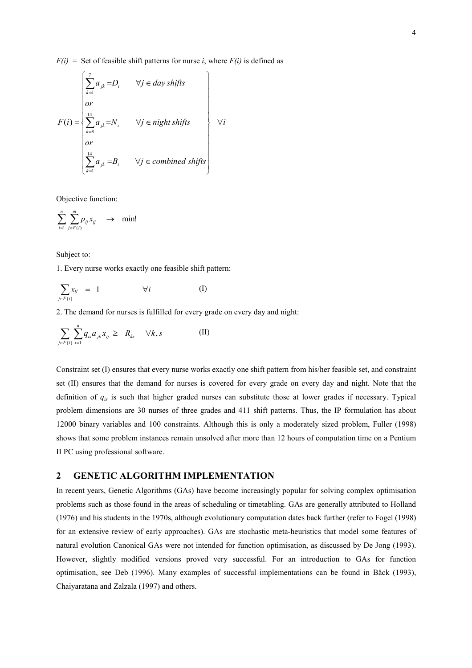$F(i)$  = Set of feasible shift patterns for nurse *i*, where  $F(i)$  is defined as

$$
F(i) = \begin{cases} \sum_{k=1}^{7} a_{jk} = D_i & \forall j \in day shifts \\ or \\ \sum_{k=8}^{14} a_{jk} = N_i & \forall j \in night shifts \\ or \\ \sum_{k=1}^{14} a_{jk} = B_i & \forall j \in combined shifts \end{cases} \qquad \forall i
$$

Objective function:

$$
\sum_{i=1}^n \sum_{j \in F(i)}^m p_{ij} x_{ij} \rightarrow \min!
$$

Subject to:

1. Every nurse works exactly one feasible shift pattern:

$$
\sum_{j \in F(i)} x_{ij} = 1 \qquad \forall i \qquad \qquad (I)
$$

2. The demand for nurses is fulfilled for every grade on every day and night:

$$
\sum_{j \in F(i)} \sum_{i=1}^{n} q_{is} a_{jk} x_{ij} \geq R_{ks} \quad \forall k, s \tag{II}
$$

Constraint set (I) ensures that every nurse works exactly one shift pattern from his/her feasible set, and constraint set (II) ensures that the demand for nurses is covered for every grade on every day and night. Note that the definition of  $q_{is}$  is such that higher graded nurses can substitute those at lower grades if necessary. Typical problem dimensions are 30 nurses of three grades and 411 shift patterns. Thus, the IP formulation has about 12000 binary variables and 100 constraints. Although this is only a moderately sized problem, Fuller (1998) shows that some problem instances remain unsolved after more than 12 hours of computation time on a Pentium II PC using professional software.

### 2 GENETIC ALGORITHM IMPLEMENTATION

In recent years, Genetic Algorithms (GAs) have become increasingly popular for solving complex optimisation problems such as those found in the areas of scheduling or timetabling. GAs are generally attributed to Holland (1976) and his students in the 1970s, although evolutionary computation dates back further (refer to Fogel (1998) for an extensive review of early approaches). GAs are stochastic meta-heuristics that model some features of natural evolution Canonical GAs were not intended for function optimisation, as discussed by De Jong (1993). However, slightly modified versions proved very successful. For an introduction to GAs for function optimisation, see Deb (1996). Many examples of successful implementations can be found in Bäck (1993), Chaiyaratana and Zalzala (1997) and others.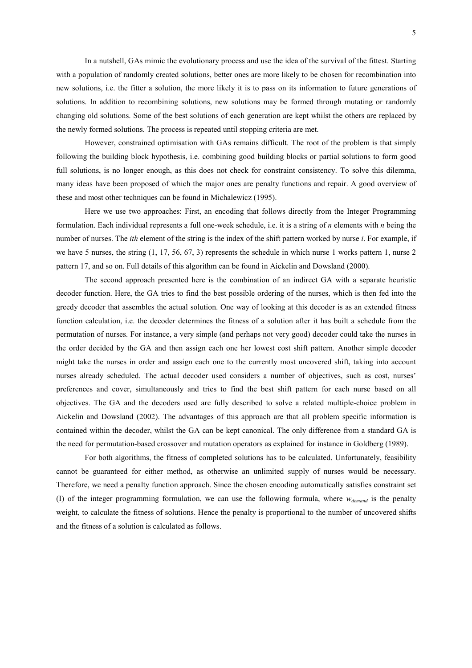In a nutshell, GAs mimic the evolutionary process and use the idea of the survival of the fittest. Starting with a population of randomly created solutions, better ones are more likely to be chosen for recombination into new solutions, i.e. the fitter a solution, the more likely it is to pass on its information to future generations of solutions. In addition to recombining solutions, new solutions may be formed through mutating or randomly changing old solutions. Some of the best solutions of each generation are kept whilst the others are replaced by the newly formed solutions. The process is repeated until stopping criteria are met.

However, constrained optimisation with GAs remains difficult. The root of the problem is that simply following the building block hypothesis, i.e. combining good building blocks or partial solutions to form good full solutions, is no longer enough, as this does not check for constraint consistency. To solve this dilemma, many ideas have been proposed of which the major ones are penalty functions and repair. A good overview of these and most other techniques can be found in Michalewicz (1995).

Here we use two approaches: First, an encoding that follows directly from the Integer Programming formulation. Each individual represents a full one-week schedule, i.e. it is a string of  $n$  elements with  $n$  being the number of nurses. The *ith* element of the string is the index of the shift pattern worked by nurse *i*. For example, if we have 5 nurses, the string (1, 17, 56, 67, 3) represents the schedule in which nurse 1 works pattern 1, nurse 2 pattern 17, and so on. Full details of this algorithm can be found in Aickelin and Dowsland (2000).

The second approach presented here is the combination of an indirect GA with a separate heuristic decoder function. Here, the GA tries to find the best possible ordering of the nurses, which is then fed into the greedy decoder that assembles the actual solution. One way of looking at this decoder is as an extended fitness function calculation, i.e. the decoder determines the fitness of a solution after it has built a schedule from the permutation of nurses. For instance, a very simple (and perhaps not very good) decoder could take the nurses in the order decided by the GA and then assign each one her lowest cost shift pattern. Another simple decoder might take the nurses in order and assign each one to the currently most uncovered shift, taking into account nurses already scheduled. The actual decoder used considers a number of objectives, such as cost, nurses' preferences and cover, simultaneously and tries to find the best shift pattern for each nurse based on all objectives. The GA and the decoders used are fully described to solve a related multiple-choice problem in Aickelin and Dowsland (2002). The advantages of this approach are that all problem specific information is contained within the decoder, whilst the GA can be kept canonical. The only difference from a standard GA is the need for permutation-based crossover and mutation operators as explained for instance in Goldberg (1989).

For both algorithms, the fitness of completed solutions has to be calculated. Unfortunately, feasibility cannot be guaranteed for either method, as otherwise an unlimited supply of nurses would be necessary. Therefore, we need a penalty function approach. Since the chosen encoding automatically satisfies constraint set (I) of the integer programming formulation, we can use the following formula, where  $w_{demand}$  is the penalty weight, to calculate the fitness of solutions. Hence the penalty is proportional to the number of uncovered shifts and the fitness of a solution is calculated as follows.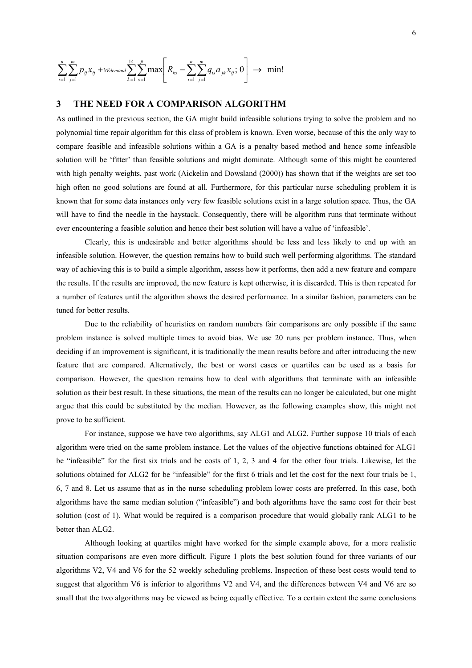$$
\sum_{i=1}^{n} \sum_{j=1}^{m} p_{ij} x_{ij} + W_{\text{demand}} \sum_{k=1}^{14} \sum_{s=1}^{p} \max \left[ R_{ks} - \sum_{i=1}^{n} \sum_{j=1}^{m} q_{is} a_{jk} x_{ij}; 0 \right] \rightarrow \min!
$$

#### 3 THE NEED FOR A COMPARISON ALGORITHM

As outlined in the previous section, the GA might build infeasible solutions trying to solve the problem and no polynomial time repair algorithm for this class of problem is known. Even worse, because of this the only way to compare feasible and infeasible solutions within a GA is a penalty based method and hence some infeasible solution will be 'fitter' than feasible solutions and might dominate. Although some of this might be countered with high penalty weights, past work (Aickelin and Dowsland (2000)) has shown that if the weights are set too high often no good solutions are found at all. Furthermore, for this particular nurse scheduling problem it is known that for some data instances only very few feasible solutions exist in a large solution space. Thus, the GA will have to find the needle in the haystack. Consequently, there will be algorithm runs that terminate without ever encountering a feasible solution and hence their best solution will have a value of 'infeasible'.

Clearly, this is undesirable and better algorithms should be less and less likely to end up with an infeasible solution. However, the question remains how to build such well performing algorithms. The standard way of achieving this is to build a simple algorithm, assess how it performs, then add a new feature and compare the results. If the results are improved, the new feature is kept otherwise, it is discarded. This is then repeated for a number of features until the algorithm shows the desired performance. In a similar fashion, parameters can be tuned for better results.

Due to the reliability of heuristics on random numbers fair comparisons are only possible if the same problem instance is solved multiple times to avoid bias. We use 20 runs per problem instance. Thus, when deciding if an improvement is significant, it is traditionally the mean results before and after introducing the new feature that are compared. Alternatively, the best or worst cases or quartiles can be used as a basis for comparison. However, the question remains how to deal with algorithms that terminate with an infeasible solution as their best result. In these situations, the mean of the results can no longer be calculated, but one might argue that this could be substituted by the median. However, as the following examples show, this might not prove to be sufficient.

For instance, suppose we have two algorithms, say ALG1 and ALG2. Further suppose 10 trials of each algorithm were tried on the same problem instance. Let the values of the objective functions obtained for ALG1 be "infeasible" for the first six trials and be costs of 1, 2, 3 and 4 for the other four trials. Likewise, let the solutions obtained for ALG2 for be "infeasible" for the first 6 trials and let the cost for the next four trials be 1, 6, 7 and 8. Let us assume that as in the nurse scheduling problem lower costs are preferred. In this case, both algorithms have the same median solution ("infeasible") and both algorithms have the same cost for their best solution (cost of 1). What would be required is a comparison procedure that would globally rank ALG1 to be better than ALG2.

Although looking at quartiles might have worked for the simple example above, for a more realistic situation comparisons are even more difficult. Figure 1 plots the best solution found for three variants of our algorithms V2, V4 and V6 for the 52 weekly scheduling problems. Inspection of these best costs would tend to suggest that algorithm V6 is inferior to algorithms V2 and V4, and the differences between V4 and V6 are so small that the two algorithms may be viewed as being equally effective. To a certain extent the same conclusions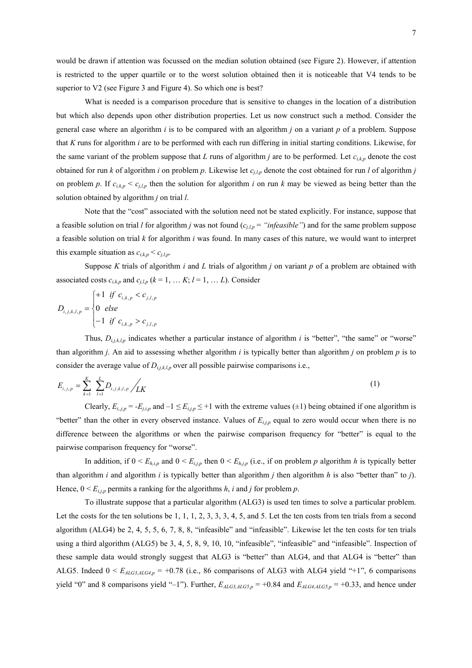would be drawn if attention was focussed on the median solution obtained (see Figure 2). However, if attention is restricted to the upper quartile or to the worst solution obtained then it is noticeable that V4 tends to be superior to V2 (see Figure 3 and Figure 4). So which one is best?

What is needed is a comparison procedure that is sensitive to changes in the location of a distribution but which also depends upon other distribution properties. Let us now construct such a method. Consider the general case where an algorithm  $i$  is to be compared with an algorithm  $j$  on a variant  $p$  of a problem. Suppose that K runs for algorithm  $i$  are to be performed with each run differing in initial starting conditions. Likewise, for the same variant of the problem suppose that L runs of algorithm j are to be performed. Let  $c_{i,k,p}$  denote the cost obtained for run k of algorithm i on problem p. Likewise let  $c_{i,l,p}$  denote the cost obtained for run l of algorithm j on problem p. If  $c_{i,k,p} < c_{j,l,p}$  then the solution for algorithm i on run k may be viewed as being better than the solution obtained by algorithm *j* on trial *l*.

Note that the "cost" associated with the solution need not be stated explicitly. For instance, suppose that a feasible solution on trial l for algorithm j was not found  $(c_{j,l,p} = "infeasible")$  and for the same problem suppose a feasible solution on trial  $k$  for algorithm  $i$  was found. In many cases of this nature, we would want to interpret this example situation as  $c_{i,k,p} < c_{i,l,p}$ .

Suppose K trials of algorithm i and L trials of algorithm i on variant  $p$  of a problem are obtained with associated costs  $c_{i,k,p}$  and  $c_{j,l,p}$  ( $k = 1, \ldots K; l = 1, \ldots L$ ). Consider

$$
D_{i,j,k,l,p} = \begin{cases} +1 & \text{if } c_{i,k,p} < c_{j,l,p} \\ 0 & \text{else} \\ -1 & \text{if } c_{i,k,p} > c_{j,l,p} \end{cases}
$$

Thus,  $D_{i,j,k,l,p}$  indicates whether a particular instance of algorithm *i* is "better", "the same" or "worse" than algorithm *j*. An aid to assessing whether algorithm *i* is typically better than algorithm *j* on problem *p* is to consider the average value of  $D_{i,j,k,l,p}$  over all possible pairwise comparisons i.e.,

$$
E_{i,j,p} = \sum_{k=1}^{K} \sum_{l=1}^{L} D_{i,j,k,l,p} / LK \tag{1}
$$

Clearly,  $E_{i,j,p} = -E_{j,i,p}$  and  $-1 \le E_{i,j,p} \le +1$  with the extreme values ( $\pm 1$ ) being obtained if one algorithm is "better" than the other in every observed instance. Values of  $E_{i,j,p}$  equal to zero would occur when there is no difference between the algorithms or when the pairwise comparison frequency for "better" is equal to the pairwise comparison frequency for "worse".

In addition, if  $0 \le E_{h,i,p}$  and  $0 \le E_{i,j,p}$  then  $0 \le E_{h,j,p}$  (i.e., if on problem p algorithm h is typically better than algorithm i and algorithm i is typically better than algorithm j then algorithm h is also "better than" to j). Hence,  $0 \le E_{i,j,p}$  permits a ranking for the algorithms h, i and j for problem p.

To illustrate suppose that a particular algorithm (ALG3) is used ten times to solve a particular problem. Let the costs for the ten solutions be  $1, 1, 1, 2, 3, 3, 3, 4, 5$ , and  $5$ . Let the ten costs from ten trials from a second algorithm (ALG4) be 2, 4, 5, 5, 6, 7, 8, 8, "infeasible" and "infeasible". Likewise let the ten costs for ten trials using a third algorithm (ALG5) be 3, 4, 5, 8, 9, 10, 10, "infeasible", "infeasible" and "infeasible". Inspection of these sample data would strongly suggest that ALG3 is "better" than ALG4, and that ALG4 is "better" than ALG5. Indeed  $0 \lt E_{ALG3,ALG4,p}$  = +0.78 (i.e., 86 comparisons of ALG3 with ALG4 yield "+1", 6 comparisons yield "0" and 8 comparisons yield "–1"). Further,  $E_{ALG3,ALG5,p}$  = +0.84 and  $E_{ALG4,ALG5,p}$  = +0.33, and hence under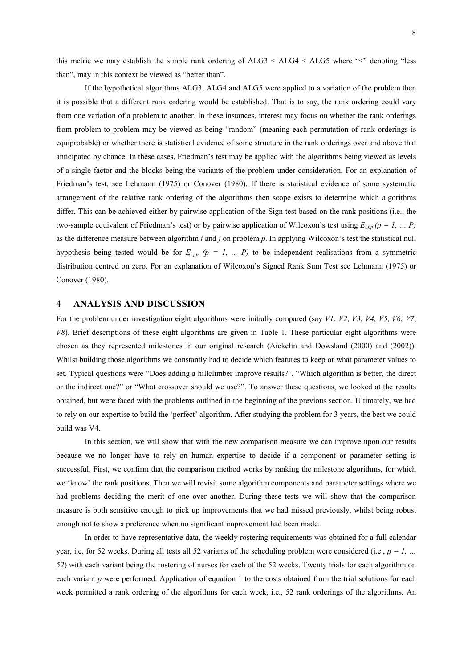this metric we may establish the simple rank ordering of ALG3 < ALG4 < ALG5 where "<" denoting "less than", may in this context be viewed as "better than".

If the hypothetical algorithms ALG3, ALG4 and ALG5 were applied to a variation of the problem then it is possible that a different rank ordering would be established. That is to say, the rank ordering could vary from one variation of a problem to another. In these instances, interest may focus on whether the rank orderings from problem to problem may be viewed as being "random" (meaning each permutation of rank orderings is equiprobable) or whether there is statistical evidence of some structure in the rank orderings over and above that anticipated by chance. In these cases, Friedman's test may be applied with the algorithms being viewed as levels of a single factor and the blocks being the variants of the problem under consideration. For an explanation of Friedman's test, see Lehmann (1975) or Conover (1980). If there is statistical evidence of some systematic arrangement of the relative rank ordering of the algorithms then scope exists to determine which algorithms differ. This can be achieved either by pairwise application of the Sign test based on the rank positions (i.e., the two-sample equivalent of Friedman's test) or by pairwise application of Wilcoxon's test using  $E_{i,n} (p = 1, \dots P)$ as the difference measure between algorithm i and j on problem  $p$ . In applying Wilcoxon's test the statistical null hypothesis being tested would be for  $E_{i,j,p}$  ( $p = 1, ... P$ ) to be independent realisations from a symmetric distribution centred on zero. For an explanation of Wilcoxon's Signed Rank Sum Test see Lehmann (1975) or Conover (1980).

### 4 ANALYSIS AND DISCUSSION

For the problem under investigation eight algorithms were initially compared (say V1, V2, V3, V4, V5, V6, V7, V8). Brief descriptions of these eight algorithms are given in Table 1. These particular eight algorithms were chosen as they represented milestones in our original research (Aickelin and Dowsland (2000) and (2002)). Whilst building those algorithms we constantly had to decide which features to keep or what parameter values to set. Typical questions were "Does adding a hillclimber improve results?", "Which algorithm is better, the direct or the indirect one?" or "What crossover should we use?". To answer these questions, we looked at the results obtained, but were faced with the problems outlined in the beginning of the previous section. Ultimately, we had to rely on our expertise to build the 'perfect' algorithm. After studying the problem for 3 years, the best we could build was V4.

In this section, we will show that with the new comparison measure we can improve upon our results because we no longer have to rely on human expertise to decide if a component or parameter setting is successful. First, we confirm that the comparison method works by ranking the milestone algorithms, for which we 'know' the rank positions. Then we will revisit some algorithm components and parameter settings where we had problems deciding the merit of one over another. During these tests we will show that the comparison measure is both sensitive enough to pick up improvements that we had missed previously, whilst being robust enough not to show a preference when no significant improvement had been made.

In order to have representative data, the weekly rostering requirements was obtained for a full calendar year, i.e. for 52 weeks. During all tests all 52 variants of the scheduling problem were considered (i.e.,  $p = 1$ , ... 52) with each variant being the rostering of nurses for each of the 52 weeks. Twenty trials for each algorithm on each variant  $p$  were performed. Application of equation 1 to the costs obtained from the trial solutions for each week permitted a rank ordering of the algorithms for each week, i.e., 52 rank orderings of the algorithms. An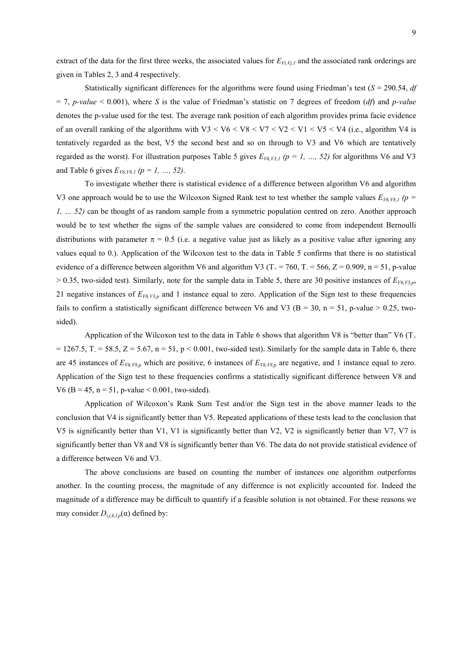extract of the data for the first three weeks, the associated values for  $E_{V_i,V_j,I}$  and the associated rank orderings are given in Tables 2, 3 and 4 respectively.

Statistically significant differences for the algorithms were found using Friedman's test ( $S = 290.54$ , *df*)  $= 7$ , p-value  $\le 0.001$ ), where S is the value of Friedman's statistic on 7 degrees of freedom (df) and p-value denotes the p-value used for the test. The average rank position of each algorithm provides prima facie evidence of an overall ranking of the algorithms with V3 < V6 < V8 < V7 < V2 < V1 < V5 < V4 (i.e., algorithm V4 is tentatively regarded as the best, V5 the second best and so on through to V3 and V6 which are tentatively regarded as the worst). For illustration purposes Table 5 gives  $E_{V6,V3,I}$  ( $p = 1, ..., 52$ ) for algorithms V6 and V3 and Table 6 gives  $E_{V6,V8,I}$  ( $p = 1, ..., 52$ ).

To investigate whether there is statistical evidence of a difference between algorithm V6 and algorithm V3 one approach would be to use the Wilcoxon Signed Rank test to test whether the sample values  $E_{V6,V8,1}$  (p = 1, … 52) can be thought of as random sample from a symmetric population centred on zero. Another approach would be to test whether the signs of the sample values are considered to come from independent Bernoulli distributions with parameter  $\pi = 0.5$  (i.e. a negative value just as likely as a positive value after ignoring any values equal to 0.). Application of the Wilcoxon test to the data in Table 5 confirms that there is no statistical evidence of a difference between algorithm V6 and algorithm V3 ( $T_+$  = 760,  $T_+$  = 566,  $Z$  = 0.909, n = 51, p-value  $> 0.35$ , two-sided test). Similarly, note for the sample data in Table 5, there are 30 positive instances of  $E_{V6,V3,p}$ , 21 negative instances of  $E_{V6,V3,p}$  and 1 instance equal to zero. Application of the Sign test to these frequencies fails to confirm a statistically significant difference between V6 and V3 ( $B = 30$ ,  $n = 51$ , p-value > 0.25, twosided).

Application of the Wilcoxon test to the data in Table 6 shows that algorithm V8 is "better than" V6  $(T_{+}$  $= 1267.5$ , T<sub>-</sub> = 58.5, Z = 5.67, n = 51, p < 0.001, two-sided test). Similarly for the sample data in Table 6, there are 45 instances of  $E_{V6,V8,p}$  which are positive, 6 instances of  $E_{V6,V8,p}$  are negative, and 1 instance equal to zero. Application of the Sign test to these frequencies confirms a statistically significant difference between V8 and V6 (B = 45, n = 51, p-value < 0.001, two-sided).

Application of Wilcoxon's Rank Sum Test and/or the Sign test in the above manner leads to the conclusion that V4 is significantly better than V5. Repeated applications of these tests lead to the conclusion that V5 is significantly better than V1, V1 is significantly better than V2, V2 is significantly better than V7, V7 is significantly better than V8 and V8 is significantly better than V6. The data do not provide statistical evidence of a difference between V6 and V3.

The above conclusions are based on counting the number of instances one algorithm outperforms another. In the counting process, the magnitude of any difference is not explicitly accounted for. Indeed the magnitude of a difference may be difficult to quantify if a feasible solution is not obtained. For these reasons we may consider  $D_{i,j,k,l,p}(\alpha)$  defined by: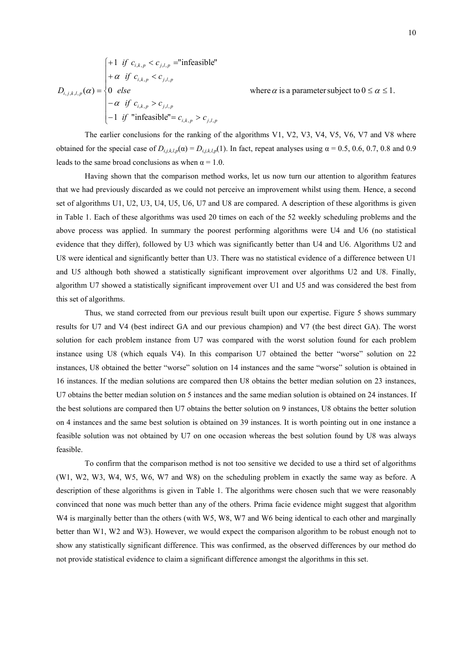$\overline{1}$  $\overline{\phantom{a}}$  $\overline{ }$  $\mathfrak{t}$  $\overline{\phantom{a}}$  $\overline{ }$ ∤  $\begin{cases} +1 \text{ if } c_{i,k,p} < c_{j,l,p} = \text{``infeasible''} \end{cases}$  $-1$  if "infeasible"=  $c_{i,k,n}$  >  $-\alpha$  if  $c_{i,k,n}$ 0 else where  $\alpha$  is a parameter subject to  $0 \le \alpha \le 1$ .  $+\alpha$  if  $c_{i,k,n}$ =  $i, k, p \sim \mathbf{v}_{j,l,p}$  $i, k, p \sim \mathbf{v}_{j,l,p}$  $i, k, p \sim i, l, p$  $i, j, k, l, p$ *if* "infeasible"=  $c_{i,k,p} > c$ if  $c_{i,k,p} > c$ else if  $c_{i,k,n} < c$ D  $, k, p \sim \mathbf{v}_{j,l}$  $, k, p \sim \mathbf{v}_{j,l}$  $, k, p \sim \nu_{j,l}$  $,j, k, l,$ 1 if "infeasible"  $(\alpha)$ α α α

The earlier conclusions for the ranking of the algorithms V1, V2, V3, V4, V5, V6, V7 and V8 where obtained for the special case of  $D_{i,j,k,l,p}(\alpha) = D_{i,j,k,l,p}(1)$ . In fact, repeat analyses using  $\alpha = 0.5, 0.6, 0.7, 0.8$  and 0.9 leads to the same broad conclusions as when  $\alpha = 1.0$ .

Having shown that the comparison method works, let us now turn our attention to algorithm features that we had previously discarded as we could not perceive an improvement whilst using them. Hence, a second set of algorithms U1, U2, U3, U4, U5, U6, U7 and U8 are compared. A description of these algorithms is given in Table 1. Each of these algorithms was used 20 times on each of the 52 weekly scheduling problems and the above process was applied. In summary the poorest performing algorithms were U4 and U6 (no statistical evidence that they differ), followed by U3 which was significantly better than U4 and U6. Algorithms U2 and U8 were identical and significantly better than U3. There was no statistical evidence of a difference between U1 and U5 although both showed a statistically significant improvement over algorithms U2 and U8. Finally, algorithm U7 showed a statistically significant improvement over U1 and U5 and was considered the best from this set of algorithms.

Thus, we stand corrected from our previous result built upon our expertise. Figure 5 shows summary results for U7 and V4 (best indirect GA and our previous champion) and V7 (the best direct GA). The worst solution for each problem instance from U7 was compared with the worst solution found for each problem instance using U8 (which equals V4). In this comparison U7 obtained the better "worse" solution on 22 instances, U8 obtained the better "worse" solution on 14 instances and the same "worse" solution is obtained in 16 instances. If the median solutions are compared then U8 obtains the better median solution on 23 instances, U7 obtains the better median solution on 5 instances and the same median solution is obtained on 24 instances. If the best solutions are compared then U7 obtains the better solution on 9 instances, U8 obtains the better solution on 4 instances and the same best solution is obtained on 39 instances. It is worth pointing out in one instance a feasible solution was not obtained by U7 on one occasion whereas the best solution found by U8 was always feasible.

To confirm that the comparison method is not too sensitive we decided to use a third set of algorithms (W1, W2, W3, W4, W5, W6, W7 and W8) on the scheduling problem in exactly the same way as before. A description of these algorithms is given in Table 1. The algorithms were chosen such that we were reasonably convinced that none was much better than any of the others. Prima facie evidence might suggest that algorithm W4 is marginally better than the others (with W5, W8, W7 and W6 being identical to each other and marginally better than W1, W2 and W3). However, we would expect the comparison algorithm to be robust enough not to show any statistically significant difference. This was confirmed, as the observed differences by our method do not provide statistical evidence to claim a significant difference amongst the algorithms in this set.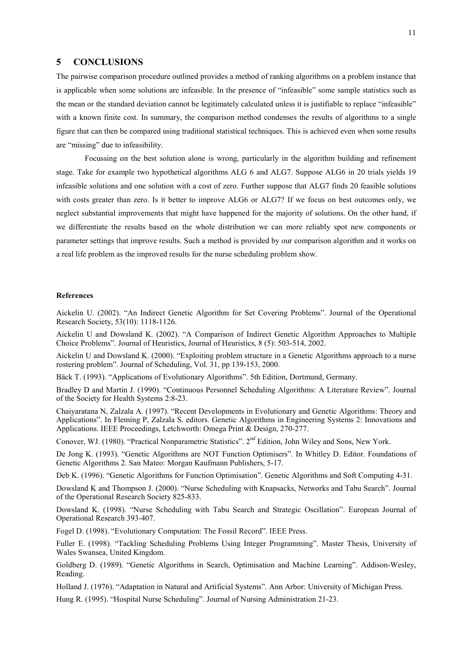## 5 CONCLUSIONS

The pairwise comparison procedure outlined provides a method of ranking algorithms on a problem instance that is applicable when some solutions are infeasible. In the presence of "infeasible" some sample statistics such as the mean or the standard deviation cannot be legitimately calculated unless it is justifiable to replace "infeasible" with a known finite cost. In summary, the comparison method condenses the results of algorithms to a single figure that can then be compared using traditional statistical techniques. This is achieved even when some results are "missing" due to infeasibility.

Focussing on the best solution alone is wrong, particularly in the algorithm building and refinement stage. Take for example two hypothetical algorithms ALG 6 and ALG7. Suppose ALG6 in 20 trials yields 19 infeasible solutions and one solution with a cost of zero. Further suppose that ALG7 finds 20 feasible solutions with costs greater than zero. Is it better to improve ALG6 or ALG7? If we focus on best outcomes only, we neglect substantial improvements that might have happened for the majority of solutions. On the other hand, if we differentiate the results based on the whole distribution we can more reliably spot new components or parameter settings that improve results. Such a method is provided by our comparison algorithm and it works on a real life problem as the improved results for the nurse scheduling problem show.

#### References

Aickelin U. (2002). "An Indirect Genetic Algorithm for Set Covering Problems". Journal of the Operational Research Society, 53(10): 1118-1126.

Aickelin U and Dowsland K. (2002). "A Comparison of Indirect Genetic Algorithm Approaches to Multiple Choice Problems". Journal of Heuristics, Journal of Heuristics, 8 (5): 503-514, 2002.

Aickelin U and Dowsland K. (2000). "Exploiting problem structure in a Genetic Algorithms approach to a nurse rostering problem". Journal of Scheduling, Vol. 31, pp 139-153, 2000.

Bäck T. (1993). "Applications of Evolutionary Algorithms". 5th Edition, Dortmund, Germany.

Bradley D and Martin J. (1990). "Continuous Personnel Scheduling Algorithms: A Literature Review". Journal of the Society for Health Systems 2:8-23.

Chaiyaratana N, Zalzala A. (1997). "Recent Developments in Evolutionary and Genetic Algorithms: Theory and Applications". In Fleming P, Zalzala S. editors. Genetic Algorithms in Engineering Systems 2: Innovations and Applications. IEEE Proceedings, Letchworth: Omega Print & Design, 270-277.

Conover, WJ. (1980). "Practical Nonparametric Statistics". 2<sup>nd</sup> Edition, John Wiley and Sons, New York.

De Jong K. (1993). "Genetic Algorithms are NOT Function Optimisers". In Whitley D. Editor. Foundations of Genetic Algorithms 2. San Mateo: Morgan Kaufmann Publishers, 5-17.

Deb K. (1996). "Genetic Algorithms for Function Optimisation". Genetic Algorithms and Soft Computing 4-31.

Dowsland K and Thompson J. (2000). "Nurse Scheduling with Knapsacks, Networks and Tabu Search". Journal of the Operational Research Society 825-833.

Dowsland K. (1998). "Nurse Scheduling with Tabu Search and Strategic Oscillation". European Journal of Operational Research 393-407.

Fogel D. (1998). "Evolutionary Computation: The Fossil Record". IEEE Press.

Fuller E. (1998). "Tackling Scheduling Problems Using Integer Programming". Master Thesis, University of Wales Swansea, United Kingdom.

Goldberg D. (1989). "Genetic Algorithms in Search, Optimisation and Machine Learning". Addison-Wesley, Reading.

Holland J. (1976). "Adaptation in Natural and Artificial Systems". Ann Arbor: University of Michigan Press.

Hung R. (1995). "Hospital Nurse Scheduling". Journal of Nursing Administration 21-23.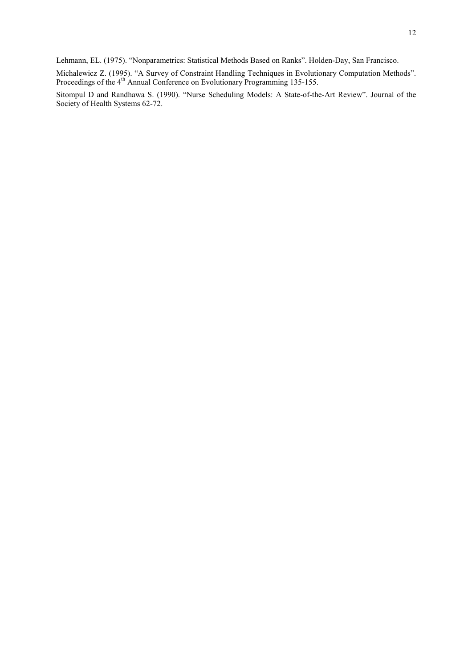Lehmann, EL. (1975). "Nonparametrics: Statistical Methods Based on Ranks". Holden-Day, San Francisco.

Michalewicz Z. (1995). "A Survey of Constraint Handling Techniques in Evolutionary Computation Methods". Proceedings of the 4<sup>th</sup> Annual Conference on Evolutionary Programming 135-155.

Sitompul D and Randhawa S. (1990). "Nurse Scheduling Models: A State-of-the-Art Review". Journal of the Society of Health Systems 62-72.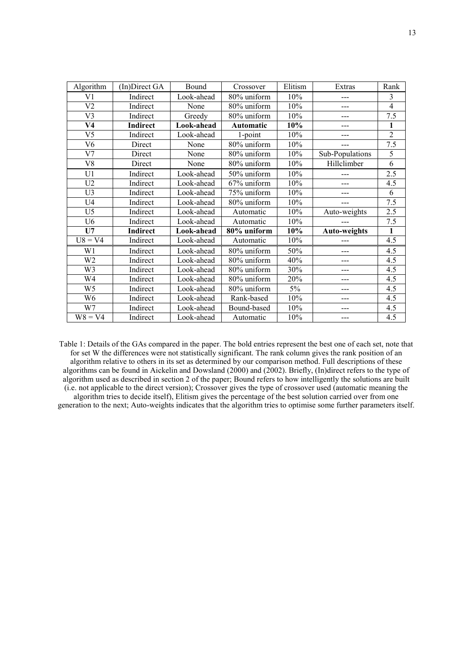| Algorithm      | (In)Direct GA   | Bound      | Crossover   | Elitism | Extras          | Rank           |
|----------------|-----------------|------------|-------------|---------|-----------------|----------------|
| V1             | Indirect        | Look-ahead | 80% uniform | 10%     | ---             | 3              |
| V <sub>2</sub> | Indirect        | None       | 80% uniform | 10%     | ---             | $\overline{4}$ |
| V <sub>3</sub> | Indirect        | Greedy     | 80% uniform | 10%     | ---             | 7.5            |
| V <sub>4</sub> | Indirect        | Look-ahead | Automatic   | 10%     |                 | 1              |
| V <sub>5</sub> | Indirect        | Look-ahead | 1-point     | 10%     |                 | $\overline{2}$ |
| V <sub>6</sub> | Direct          | None       | 80% uniform | 10%     | ---             | 7.5            |
| V7             | Direct          | None       | 80% uniform | 10%     | Sub-Populations | 5              |
| V8             | Direct          | None       | 80% uniform | 10%     | Hillclimber     | 6              |
| U1             | Indirect        | Look-ahead | 50% uniform | 10%     |                 | 2.5            |
| U <sub>2</sub> | Indirect        | Look-ahead | 67% uniform | 10%     | ---             | 4.5            |
| U3             | Indirect        | Look-ahead | 75% uniform | 10%     | ---             | 6              |
| U <sub>4</sub> | Indirect        | Look-ahead | 80% uniform | 10%     | $---$           | 7.5            |
| U <sub>5</sub> | Indirect        | Look-ahead | Automatic   | 10%     | Auto-weights    | 2.5            |
| U <sub>6</sub> | Indirect        | Look-ahead | Automatic   | 10%     | $---$           | 7.5            |
| U7             | <b>Indirect</b> | Look-ahead | 80% uniform | 10%     | Auto-weights    | 1              |
| $U8 = V4$      | Indirect        | Look-ahead | Automatic   | 10%     | ---             | 4.5            |
| W1             | Indirect        | Look-ahead | 80% uniform | 50%     | ---             | 4.5            |
| W <sub>2</sub> | Indirect        | Look-ahead | 80% uniform | 40%     | ---             | 4.5            |
| W <sub>3</sub> | Indirect        | Look-ahead | 80% uniform | 30%     | ---             | 4.5            |
| W4             | Indirect        | Look-ahead | 80% uniform | 20%     | ---             | 4.5            |
| W <sub>5</sub> | Indirect        | Look-ahead | 80% uniform | 5%      | ---             | 4.5            |
| W <sub>6</sub> | Indirect        | Look-ahead | Rank-based  | 10%     | ---             | 4.5            |
| W7             | Indirect        | Look-ahead | Bound-based | $10\%$  | ---             | 4.5            |
| $W8 = V4$      | Indirect        | Look-ahead | Automatic   | 10%     | ---             | 4.5            |

Table 1: Details of the GAs compared in the paper. The bold entries represent the best one of each set, note that for set W the differences were not statistically significant. The rank column gives the rank position of an algorithm relative to others in its set as determined by our comparison method. Full descriptions of these algorithms can be found in Aickelin and Dowsland (2000) and (2002). Briefly, (In)direct refers to the type of algorithm used as described in section 2 of the paper; Bound refers to how intelligently the solutions are built (i.e. not applicable to the direct version); Crossover gives the type of crossover used (automatic meaning the algorithm tries to decide itself), Elitism gives the percentage of the best solution carried over from one generation to the next; Auto-weights indicates that the algorithm tries to optimise some further parameters itself.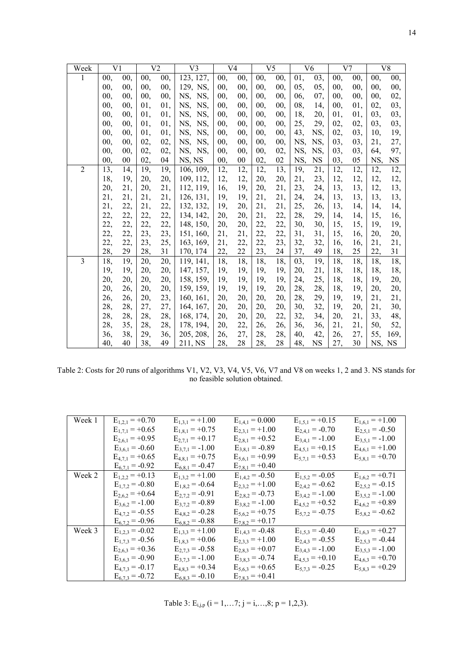| Week                    | V <sub>1</sub> |     |     | V <sub>2</sub> | V3         |     | V <sub>4</sub> |     | V <sub>5</sub> |     | V <sub>6</sub> |     | V <sub>7</sub> |     | V8        |
|-------------------------|----------------|-----|-----|----------------|------------|-----|----------------|-----|----------------|-----|----------------|-----|----------------|-----|-----------|
| 1                       | 00,            | 00, | 00, | 00,            | 123, 127,  | 00, | 00,            | 00, | 00,            | 01, | 03,            | 00, | 00,            | 00, | 00,       |
|                         | 00,            | 00, | 00, | 00,            | 129, NS,   | 00, | 00,            | 00, | 00,            | 05, | 05,            | 00, | 00,            | 00, | 00,       |
|                         | 00.            | 00, | 00, | 00,            | NS,<br>NS, | 00, | 00,            | 00, | 00,            | 06, | 07,            | 00, | 00,            | 00, | 02,       |
|                         | 00,            | 00, | 01, | 01,            | NS,<br>NS, | 00, | 00,            | 00, | 00,            | 08, | 14,            | 00, | 01,            | 02, | 03,       |
|                         | 00,            | 00, | 01, | 01,            | NS,<br>NS, | 00, | 00,            | 00, | 00,            | 18, | 20,            | 01, | 01,            | 03, | 03,       |
|                         | 00,            | 00, | 01, | 01,            | NS,<br>NS, | 00, | 00,            | 00, | 00,            | 25, | 29,            | 02, | 02,            | 03, | 03,       |
|                         | 00,            | 00, | 01, | 01,            | NS,<br>NS, | 00, | 00,            | 00, | 00,            | 43, | NS,            | 02, | 03,            | 10, | 19,       |
|                         | 00,            | 00, | 02, | 02,            | NS,<br>NS, | 00, | 00,            | 00, | 00,            | NS, | NS,            | 03, | 03,            | 21, | 27,       |
|                         | 00,            | 00, | 02, | 02,            | NS,<br>NS, | 00, | 00,            | 00, | 02,            | NS, | NS,            | 03, | 03,            | 64, | 97,       |
|                         | 00,            | 00  | 02, | 04             | NS, NS     | 00, | 00             | 02, | 02             | NS, | <b>NS</b>      | 03, | 05             | NS, | <b>NS</b> |
| $\overline{2}$          | 13,            | 14, | 19, | 19,            | 106, 109,  | 12, | 12,            | 12, | 13,            | 19, | 21,            | 12, | 12,            | 12, | 12,       |
|                         | 18,            | 19, | 20, | 20,            | 109, 112,  | 12, | 12,            | 20, | 20,            | 21, | 23,            | 12, | 12,            | 12, | 12,       |
|                         | 20,            | 21, | 20, | 21,            | 112, 119,  | 16, | 19,            | 20, | 21,            | 23, | 24,            | 13, | 13,            | 12, | 13,       |
|                         | 21,            | 21, | 21, | 21,            | 126, 131,  | 19, | 19,            | 21, | 21,            | 24, | 24,            | 13, | 13,            | 13, | 13,       |
|                         | 21,            | 22, | 21, | 22,            | 132, 132,  | 19, | 20,            | 21, | 21,            | 25, | 26,            | 13, | 14,            | 14, | 14,       |
|                         | 22,            | 22, | 22, | 22,            | 134, 142,  | 20, | 20,            | 21, | 22,            | 28, | 29,            | 14, | 14,            | 15, | 16,       |
|                         | 22,            | 22, | 22, | 22,            | 148, 150,  | 20, | 20,            | 22, | 22,            | 30, | 30,            | 15, | 15,            | 19, | 19,       |
|                         | 22,            | 22, | 23, | 23,            | 151, 160,  | 21, | 21,            | 22, | 22,            | 31, | 31,            | 15, | 16,            | 20, | 20,       |
|                         | 22,            | 22, | 23, | 25,            | 163, 169,  | 21, | 22,            | 22, | 23,            | 32, | 32,            | 16, | 16,            | 21, | 21,       |
|                         | 28,            | 29  | 28, | 31             | 170, 174   | 22, | 22             | 23, | 24             | 37, | 49             | 18, | 25             | 22, | 31        |
| $\overline{\mathbf{3}}$ | 18,            | 19, | 20, | 20,            | 119, 141,  | 18, | 18,            | 18, | 18,            | 03, | 19,            | 18, | 18,            | 18, | 18,       |
|                         | 19,            | 19, | 20, | 20,            | 147, 157,  | 19, | 19,            | 19, | 19,            | 20, | 21,            | 18, | 18,            | 18, | 18,       |
|                         | 20,            | 20, | 20, | 20,            | 158, 159,  | 19, | 19,            | 19, | 19,            | 24, | 25,            | 18, | 18,            | 19, | 20,       |
|                         | 20,            | 26, | 20, | 20,            | 159, 159,  | 19, | 19,            | 19, | 20,            | 28, | 28,            | 18, | 19,            | 20, | 20,       |
|                         | 26,            | 26, | 20, | 23,            | 160, 161,  | 20, | 20,            | 20, | 20,            | 28, | 29,            | 19, | 19,            | 21, | 21,       |
|                         | 28,            | 28, | 27, | 27,            | 164, 167,  | 20, | 20,            | 20, | 20,            | 30, | 32,            | 19, | 20,            | 21, | 30,       |
|                         | 28,            | 28, | 28, | 28,            | 168, 174,  | 20, | 20,            | 20, | 22,            | 32, | 34,            | 20, | 21,            | 33, | 48,       |
|                         | 28,            | 35, | 28, | 28,            | 178, 194,  | 20, | 22,            | 26, | 26,            | 36, | 36,            | 21, | 21,            | 50, | 52,       |
|                         | 36,            | 38, | 29, | 36,            | 205, 208,  | 26, | 27,            | 28, | 28,            | 40, | 42,            | 26, | 27,            | 55, | 169,      |
|                         | 40,            | 40  | 38, | 49             | 211, NS    | 28, | 28             | 28, | 28             | 48, | <b>NS</b>      | 27, | 30             | NS, | <b>NS</b> |

Table 2: Costs for 20 runs of algorithms V1, V2, V3, V4, V5, V6, V7 and V8 on weeks 1, 2 and 3. NS stands for no feasible solution obtained.

| Week 1 | $E_{1,2,1}$ = +0.70 | $E_{1,3,1}$ = +1.00 | $E_{1,4,1} = 0.000$ | $E_{1,5,1}$ = +0.15 | $E_{1,6,1}$ = +1.00 |
|--------|---------------------|---------------------|---------------------|---------------------|---------------------|
|        | $E_{1,7,1}$ = +0.65 | $E_{1,8,1}$ = +0.75 | $E_{2,3,1} = +1.00$ | $E_{2,4,1} = -0.70$ | $E_{2,5,1} = -0.50$ |
|        | $E_{2,6,1}$ = +0.95 | $E_{2,7,1}$ = +0.17 | $E_{2,8,1}$ = +0.52 | $E_{3,4,1} = -1.00$ | $E_{3,5,1} = -1.00$ |
|        | $E_{3,6,1} = -0.60$ | $E_{3,7,1} = -1.00$ | $E_{3,8,1} = -0.89$ | $E_{4,5,1}$ = +0.15 | $E_{4,6,1}$ = +1.00 |
|        | $E_{4,7,1}$ = +0.65 | $E_{4,8,1}$ = +0.75 | $E_{5,6,1}$ = +0.99 | $E_{5,7,1}$ = +0.53 | $E_{5,8,1}$ = +0.70 |
|        | $E_{6,7,1} = -0.92$ | $E_{6,8,1} = -0.47$ | $E_{7,8,1}$ = +0.40 |                     |                     |
| Week 2 | $E_{1,2,2}$ = +0.13 | $E_{1,3,2}$ = +1.00 | $E_{1,4,2} = -0.50$ | $E_{1,5,2} = -0.05$ | $E_{1,6,2}$ = +0.71 |
|        | $E_{1,7,2} = -0.80$ | $E_{1,8,2} = -0.64$ | $E_{2,3,2}$ = +1.00 | $E_{2,4,2} = -0.62$ | $E_{2,5,2} = -0.15$ |
|        | $E_{2,6,2}$ = +0.64 | $E_{2,7,2} = -0.91$ | $E_{2,8,2} = -0.73$ | $E_{3,4,2} = -1.00$ | $E_{3,5,2} = -1.00$ |
|        | $E_{3,6,2} = -1.00$ | $E_{3,7,2} = -0.89$ | $E_{3,8,2} = -1.00$ | $E_{4,5,2}$ = +0.52 | $E_{4,6,2}$ = +0.89 |
|        | $E_{4,7,2} = -0.55$ | $E_{4,8,2} = -0.28$ | $E_{5,6,2}$ = +0.75 | $E_{5,7,2} = -0.75$ | $E_{5,8,2} = -0.62$ |
|        | $E_{6,7,2} = -0.96$ | $E_{6,8,2} = -0.88$ | $E_{7,8,2}$ = +0.17 |                     |                     |
| Week 3 | $E_{1,2,3} = -0.02$ | $E_{1,3,3}$ = +1.00 | $E_{1,4,3} = -0.48$ | $E_{1,5,3} = -0.40$ | $E_{1,6,3} = +0.27$ |
|        | $E_{1,7,3} = -0.56$ | $E_{1,8,3}$ = +0.06 | $E_{2,3,3}$ = +1.00 | $E_{2,4,3} = -0.55$ | $E_{2,5,3} = -0.44$ |
|        | $E_{2,6,3}$ = +0.36 | $E_{2,7,3} = -0.58$ | $E_{2,8,3}$ = +0.07 | $E_{3,4,3} = -1.00$ | $E_{3,5,3} = -1.00$ |
|        | $E_{3,6,3} = -0.90$ | $E_{3,7,3} = -1.00$ | $E_{3,8,3} = -0.74$ | $E_{4,5,3}$ = +0.10 | $E_{4,6,3}$ = +0.70 |
|        | $E_{4,7,3} = -0.17$ | $E_{4,8,3}$ = +0.34 | $E_{5,6,3}$ = +0.65 | $E_{5,7,3} = -0.25$ | $E_{5,8,3}$ = +0.29 |
|        | $E_{6,7,3} = -0.72$ | $E_{6,8,3} = -0.10$ | $E_{7,8,3}$ = +0.41 |                     |                     |

Table 3: E<sub>i,j,p</sub> ( $i = 1,...7$ ;  $j = i,...,8$ ;  $p = 1,2,3$ ).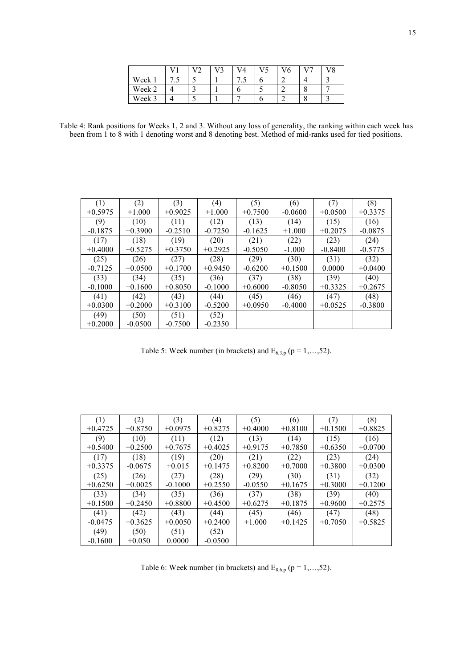|                  | 171 | 70              | V3 | V4 | ◡ | V6 | 17 T     | V8 |
|------------------|-----|-----------------|----|----|---|----|----------|----|
| Week             | ن.  | ی               |    | ن. |   | ∽  |          |    |
| Week 2           |     | $\sqrt{2}$<br>س |    | O  |   |    | Ω<br>O   |    |
| Week .<br>$\sim$ |     | ی               |    |    |   |    | $\Omega$ |    |

Table 4: Rank positions for Weeks 1, 2 and 3. Without any loss of generality, the ranking within each week has been from 1 to 8 with 1 denoting worst and 8 denoting best. Method of mid-ranks used for tied positions.

| (1)       | (2)       | (3)       | (4)       | (5)       | (6)       | (7)       | (8)       |
|-----------|-----------|-----------|-----------|-----------|-----------|-----------|-----------|
| $+0.5975$ | $+1.000$  | $+0.9025$ | $+1.000$  | $+0.7500$ | $-0.0600$ | $+0.0500$ | $+0.3375$ |
| (9)       | (10)      | (11)      | (12)      | (13)      | (14)      | (15)      | (16)      |
| $-0.1875$ | $+0.3900$ | $-0.2510$ | $-0.7250$ | $-0.1625$ | $+1.000$  | $+0.2075$ | $-0.0875$ |
| (17)      | (18)      | (19)      | (20)      | (21)      | (22)      | (23)      | (24)      |
| $+0.4000$ | $+0.5275$ | $+0.3750$ | $+0.2925$ | $-0.5050$ | $-1.000$  | $-0.8400$ | $-0.5775$ |
| (25)      | (26)      | (27)      | (28)      | (29)      | (30)      | (31)      | (32)      |
| $-0.7125$ | $+0.0500$ | $+0.1700$ | $+0.9450$ | $-0.6200$ | $+0.1500$ | 0.0000    | $+0.0400$ |
| (33)      | (34)      | (35)      | (36)      | (37)      | (38)      | (39)      | (40)      |
| $-0.1000$ | $+0.1600$ | $+0.8050$ | $-0.1000$ | $+0.6000$ | $-0.8050$ | $+0.3325$ | $+0.2675$ |
| (41)      | (42)      | (43)      | (44)      | (45)      | (46)      | (47)      | (48)      |
| $+0.0300$ | $+0.2000$ | $+0.3100$ | $-0.5200$ | $+0.0950$ | $-0.4000$ | $+0.0525$ | $-0.3800$ |
| (49)      | (50)      | (51)      | (52)      |           |           |           |           |
| $+0.2000$ | $-0.0500$ | $-0.7500$ | $-0.2350$ |           |           |           |           |

Table 5: Week number (in brackets) and  $E_{6,3,p}$  ( $p = 1,...,52$ ).

| (1)       | (2)       | (3)       | (4)       | (5)       | (6)       | (7)       | (8)       |
|-----------|-----------|-----------|-----------|-----------|-----------|-----------|-----------|
| $+0.4725$ | $+0.8750$ | $+0.0975$ | $+0.8275$ | $+0.4000$ | $+0.8100$ | $+0.1500$ | $+0.8825$ |
| (9)       | (10)      | (11)      | (12)      | (13)      | (14)      | (15)      | (16)      |
| $+0.5400$ | $+0.2500$ | $+0.7675$ | $+0.4025$ | $+0.9175$ | $+0.7850$ | $+0.6350$ | $+0.0700$ |
| (17)      | (18)      | (19)      | (20)      | (21)      | (22)      | (23)      | (24)      |
| $+0.3375$ | $-0.0675$ | $+0.015$  | $+0.1475$ | $+0.8200$ | $+0.7000$ | $+0.3800$ | $+0.0300$ |
| (25)      | (26)      | (27)      | (28)      | (29)      | (30)      | (31)      | (32)      |
| $+0.6250$ | $+0.0025$ | $-0.1000$ | $+0.2550$ | $-0.0550$ | $+0.1675$ | $+0.3000$ | $+0.1200$ |
| (33)      | (34)      | (35)      | (36)      | (37)      | (38)      | (39)      | (40)      |
| $+0.1500$ | $+0.2450$ | $+0.8800$ | $+0.4500$ | $+0.6275$ | $+0.1875$ | $+0.9600$ | $+0.2575$ |
| (41)      | (42)      | (43)      | (44)      | (45)      | (46)      | (47)      | (48)      |
| $-0.0475$ | $+0.3625$ | $+0.0050$ | $+0.2400$ | $+1.000$  | $+0.1425$ | $+0.7050$ | $+0.5825$ |
| (49)      | (50)      | (51)      | (52)      |           |           |           |           |
| $-0.1600$ | $+0.050$  | 0.0000    | $-0.0500$ |           |           |           |           |

Table 6: Week number (in brackets) and  $E_{8,6,p}$  ( $p = 1,...,52$ ).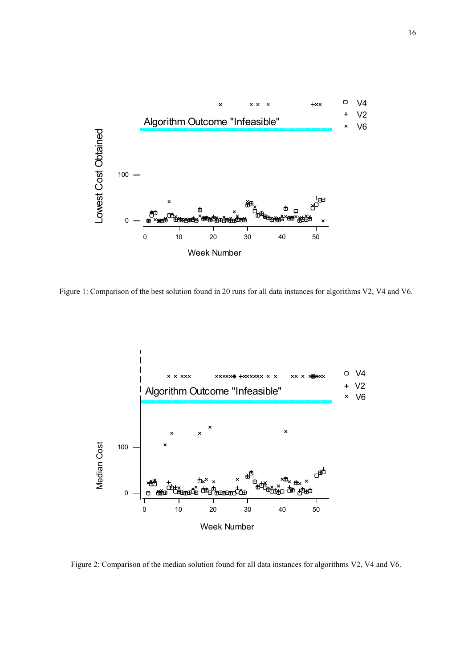

Figure 1: Comparison of the best solution found in 20 runs for all data instances for algorithms V2, V4 and V6.



Figure 2: Comparison of the median solution found for all data instances for algorithms V2, V4 and V6.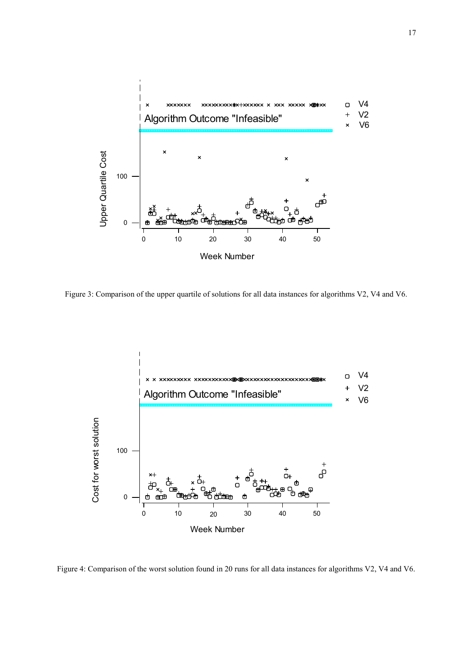

Figure 3: Comparison of the upper quartile of solutions for all data instances for algorithms V2, V4 and V6.



Figure 4: Comparison of the worst solution found in 20 runs for all data instances for algorithms V2, V4 and V6.